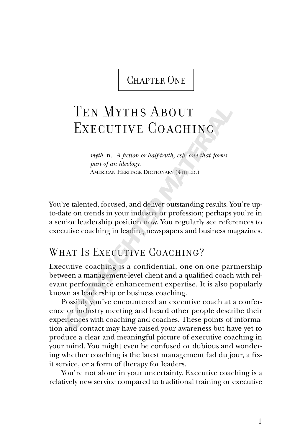### CHAPTER ONE

## Ten Myths AboutEXECUTIVE COACHING

*myth* n. *A fiction or half-truth, esp. one that forms part of an ideology.* AMERICAN HERITAGE DICTIONARY (4TH ED.)

You're talented, focused, and deliver outstanding results. You're upto-date on trends in your industry or profession; perhaps you're in a senior leadership position now. You regularly see references to executive coaching in leading newspapers and business magazines.

### WHAT IS EXECUTIVE COACHING?

Executive coaching is a confidential, one-on-one partnership between a management-level client and a qualified coach with relevant performance enhancement expertise. It is also popularly known as leadership or business coaching. TEN MYTHS ABOUT<br>EXECUTIVE COACHING<br>EXECUTIVE COACHING<br> *myth* n. *A fiction or half-truth, esp. one that forms*<br> *part of an ideology.*<br>
AMERICAN HERITAGE DICTIONARY (4TH ED.)<br>
<sup>7</sup> re talented, focused, and deliver outstan

Possibly you've encountered an executive coach at a conference or industry meeting and heard other people describe their experiences with coaching and coaches. These points of information and contact may have raised your awareness but have yet to produce a clear and meaningful picture of executive coaching in your mind. You might even be confused or dubious and wondering whether coaching is the latest management fad du jour, a fixit service, or a form of therapy for leaders.

You're not alone in your uncertainty. Executive coaching is a relatively new service compared to traditional training or executive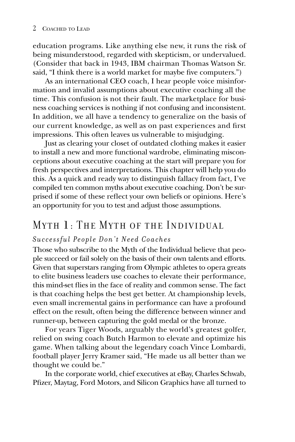education programs. Like anything else new, it runs the risk of being misunderstood, regarded with skepticism, or undervalued. (Consider that back in 1943, IBM chairman Thomas Watson Sr. said, "I think there is a world market for maybe five computers.")

As an international CEO coach, I hear people voice misinformation and invalid assumptions about executive coaching all the time. This confusion is not their fault. The marketplace for business coaching services is nothing if not confusing and inconsistent. In addition, we all have a tendency to generalize on the basis of our current knowledge, as well as on past experiences and first impressions. This often leaves us vulnerable to misjudging.

Just as clearing your closet of outdated clothing makes it easier to install a new and more functional wardrobe, eliminating misconceptions about executive coaching at the start will prepare you for fresh perspectives and interpretations. This chapter will help you do this. As a quick and ready way to distinguish fallacy from fact, I've compiled ten common myths about executive coaching. Don't be surprised if some of these reflect your own beliefs or opinions. Here's an opportunity for you to test and adjust those assumptions.

### Myth 1: The Myth of the Individual

#### *Successful People Don't Need Coaches*

Those who subscribe to the Myth of the Individual believe that people succeed or fail solely on the basis of their own talents and efforts. Given that superstars ranging from Olympic athletes to opera greats to elite business leaders use coaches to elevate their performance, this mind-set flies in the face of reality and common sense. The fact is that coaching helps the best get better. At championship levels, even small incremental gains in performance can have a profound effect on the result, often being the difference between winner and runner-up, between capturing the gold medal or the bronze.

For years Tiger Woods, arguably the world's greatest golfer, relied on swing coach Butch Harmon to elevate and optimize his game. When talking about the legendary coach Vince Lombardi, football player Jerry Kramer said, "He made us all better than we thought we could be."

In the corporate world, chief executives at eBay, Charles Schwab, Pfizer, Maytag, Ford Motors, and Silicon Graphics have all turned to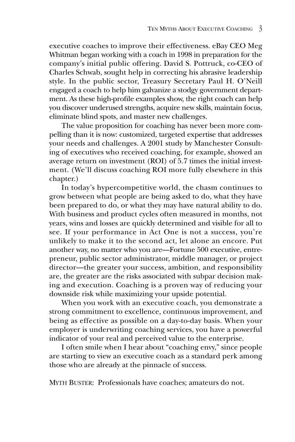executive coaches to improve their effectiveness. eBay CEO Meg Whitman began working with a coach in 1998 in preparation for the company's initial public offering. David S. Pottruck, co-CEO of Charles Schwab, sought help in correcting his abrasive leadership style. In the public sector, Treasury Secretary Paul H. O'Neill engaged a coach to help him galvanize a stodgy government department. As these high-profile examples show, the right coach can help you discover underused strengths, acquire new skills, maintain focus, eliminate blind spots, and master new challenges.

The value proposition for coaching has never been more compelling than it is now: customized, targeted expertise that addresses your needs and challenges. A 2001 study by Manchester Consulting of executives who received coaching, for example, showed an average return on investment (ROI) of 5.7 times the initial investment. (We'll discuss coaching ROI more fully elsewhere in this chapter.)

In today's hypercompetitive world, the chasm continues to grow between what people are being asked to do, what they have been prepared to do, or what they may have natural ability to do. With business and product cycles often measured in months, not years, wins and losses are quickly determined and visible for all to see. If your performance in Act One is not a success, you're unlikely to make it to the second act, let alone an encore. Put another way, no matter who you are—Fortune 500 executive, entrepreneur, public sector administrator, middle manager, or project director—the greater your success, ambition, and responsibility are, the greater are the risks associated with subpar decision making and execution. Coaching is a proven way of reducing your downside risk while maximizing your upside potential.

When you work with an executive coach, you demonstrate a strong commitment to excellence, continuous improvement, and being as effective as possible on a day-to-day basis. When your employer is underwriting coaching services, you have a powerful indicator of your real and perceived value to the enterprise.

I often smile when I hear about "coaching envy," since people are starting to view an executive coach as a standard perk among those who are already at the pinnacle of success.

MYTH BUSTER: Professionals have coaches; amateurs do not.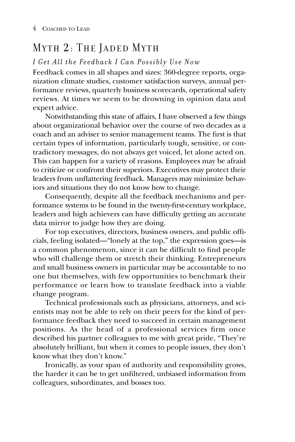# Myth 2: The Jaded Myth

#### *I Get All the Feedback I Can Possibly Use Now*

Feedback comes in all shapes and sizes: 360-degree reports, organization climate studies, customer satisfaction surveys, annual performance reviews, quarterly business scorecards, operational safety reviews. At times we seem to be drowning in opinion data and expert advice.

Notwithstanding this state of affairs, I have observed a few things about organizational behavior over the course of two decades as a coach and an adviser to senior management teams. The first is that certain types of information, particularly tough, sensitive, or contradictory messages, do not always get voiced, let alone acted on. This can happen for a variety of reasons. Employees may be afraid to criticize or confront their superiors. Executives may protect their leaders from unflattering feedback. Managers may minimize behaviors and situations they do not know how to change.

Consequently, despite all the feedback mechanisms and performance systems to be found in the twenty-first-century workplace, leaders and high achievers can have difficulty getting an accurate data mirror to judge how they are doing.

For top executives, directors, business owners, and public officials, feeling isolated—"lonely at the top," the expression goes—is a common phenomenon, since it can be difficult to find people who will challenge them or stretch their thinking. Entrepreneurs and small business owners in particular may be accountable to no one but themselves, with few opportunities to benchmark their performance or learn how to translate feedback into a viable change program.

Technical professionals such as physicians, attorneys, and scientists may not be able to rely on their peers for the kind of performance feedback they need to succeed in certain management positions. As the head of a professional services firm once described his partner colleagues to me with great pride, "They're absolutely brilliant, but when it comes to people issues, they don't know what they don't know."

Ironically, as your span of authority and responsibility grows, the harder it can be to get unfiltered, unbiased information from colleagues, subordinates, and bosses too.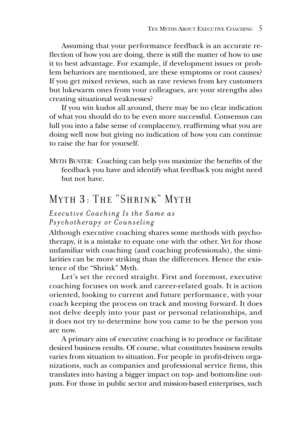Assuming that your performance feedback is an accurate reflection of how you are doing, there is still the matter of how to use it to best advantage. For example, if development issues or problem behaviors are mentioned, are these symptoms or root causes? If you get mixed reviews, such as rave reviews from key customers but lukewarm ones from your colleagues, are your strengths also creating situational weaknesses?

If you win kudos all around, there may be no clear indication of what you should do to be even more successful. Consensus can lull you into a false sense of complacency, reaffirming what you are doing well now but giving no indication of how you can continue to raise the bar for yourself.

MYTH BUSTER: Coaching can help you maximize the benefits of the feedback you have and identify what feedback you might need but not have.

### Myth 3: The "Shrink" Myth

#### *Executive Coaching Is the Same as Psychotherapy or Counseling*

Although executive coaching shares some methods with psychotherapy, it is a mistake to equate one with the other. Yet for those unfamiliar with coaching (and coaching professionals), the similarities can be more striking than the differences. Hence the existence of the "Shrink" Myth.

Let's set the record straight. First and foremost, executive coaching focuses on work and career-related goals. It is action oriented, looking to current and future performance, with your coach keeping the process on track and moving forward. It does not delve deeply into your past or personal relationships, and it does not try to determine how you came to be the person you are now.

A primary aim of executive coaching is to produce or facilitate desired business results. Of course, what constitutes business results varies from situation to situation. For people in profit-driven organizations, such as companies and professional service firms, this translates into having a bigger impact on top- and bottom-line outputs. For those in public sector and mission-based enterprises, such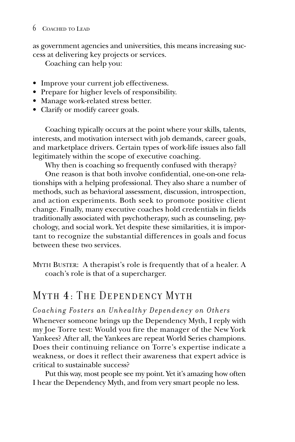#### 6 COACHED TO LEAD

as government agencies and universities, this means increasing success at delivering key projects or services.

Coaching can help you:

- Improve your current job effectiveness.
- Prepare for higher levels of responsibility.
- Manage work-related stress better.
- Clarify or modify career goals.

Coaching typically occurs at the point where your skills, talents, interests, and motivation intersect with job demands, career goals, and marketplace drivers. Certain types of work-life issues also fall legitimately within the scope of executive coaching.

Why then is coaching so frequently confused with therapy?

One reason is that both involve confidential, one-on-one relationships with a helping professional. They also share a number of methods, such as behavioral assessment, discussion, introspection, and action experiments. Both seek to promote positive client change. Finally, many executive coaches hold credentials in fields traditionally associated with psychotherapy, such as counseling, psychology, and social work. Yet despite these similarities, it is important to recognize the substantial differences in goals and focus between these two services.

MYTH BUSTER: A therapist's role is frequently that of a healer. A coach's role is that of a supercharger.

### Myth 4: The Dependency Myth

#### *Coaching Fosters an Unhealthy Dependency on Others*

Whenever someone brings up the Dependency Myth, I reply with my Joe Torre test: Would you fire the manager of the New York Yankees? After all, the Yankees are repeat World Series champions. Does their continuing reliance on Torre's expertise indicate a weakness, or does it reflect their awareness that expert advice is critical to sustainable success?

Put this way, most people see my point. Yet it's amazing how often I hear the Dependency Myth, and from very smart people no less.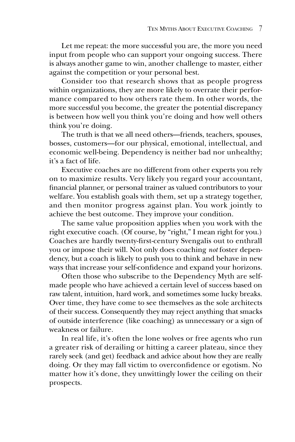Let me repeat: the more successful you are, the more you need input from people who can support your ongoing success. There is always another game to win, another challenge to master, either against the competition or your personal best.

Consider too that research shows that as people progress within organizations, they are more likely to overrate their performance compared to how others rate them. In other words, the more successful you become, the greater the potential discrepancy is between how well you think you're doing and how well others think you're doing.

The truth is that we all need others—friends, teachers, spouses, bosses, customers—for our physical, emotional, intellectual, and economic well-being. Dependency is neither bad nor unhealthy; it's a fact of life.

Executive coaches are no different from other experts you rely on to maximize results. Very likely you regard your accountant, financial planner, or personal trainer as valued contributors to your welfare. You establish goals with them, set up a strategy together, and then monitor progress against plan. You work jointly to achieve the best outcome. They improve your condition.

The same value proposition applies when you work with the right executive coach. (Of course, by "right," I mean right for you.) Coaches are hardly twenty-first-century Svengalis out to enthrall you or impose their will. Not only does coaching *not* foster dependency, but a coach is likely to push you to think and behave in new ways that increase your self-confidence and expand your horizons.

Often those who subscribe to the Dependency Myth are selfmade people who have achieved a certain level of success based on raw talent, intuition, hard work, and sometimes some lucky breaks. Over time, they have come to see themselves as the sole architects of their success. Consequently they may reject anything that smacks of outside interference (like coaching) as unnecessary or a sign of weakness or failure.

In real life, it's often the lone wolves or free agents who run a greater risk of derailing or hitting a career plateau, since they rarely seek (and get) feedback and advice about how they are really doing. Or they may fall victim to overconfidence or egotism. No matter how it's done, they unwittingly lower the ceiling on their prospects.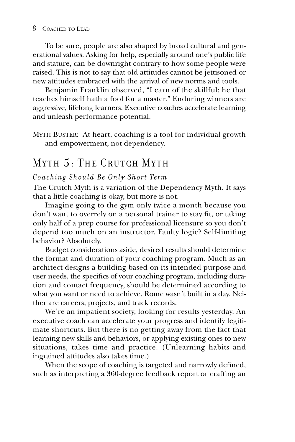#### 8 COACHED TO LEAD

To be sure, people are also shaped by broad cultural and generational values. Asking for help, especially around one's public life and stature, can be downright contrary to how some people were raised. This is not to say that old attitudes cannot be jettisoned or new attitudes embraced with the arrival of new norms and tools.

Benjamin Franklin observed, "Learn of the skillful; he that teaches himself hath a fool for a master." Enduring winners are aggressive, lifelong learners. Executive coaches accelerate learning and unleash performance potential.

MYTH BUSTER: At heart, coaching is a tool for individual growth and empowerment, not dependency.

### MYTH 5: THE CRUTCH MYTH

#### *Coaching Should Be Only Short Term*

The Crutch Myth is a variation of the Dependency Myth. It says that a little coaching is okay, but more is not.

Imagine going to the gym only twice a month because you don't want to overrely on a personal trainer to stay fit, or taking only half of a prep course for professional licensure so you don't depend too much on an instructor. Faulty logic? Self-limiting behavior? Absolutely.

Budget considerations aside, desired results should determine the format and duration of your coaching program. Much as an architect designs a building based on its intended purpose and user needs, the specifics of your coaching program, including duration and contact frequency, should be determined according to what you want or need to achieve. Rome wasn't built in a day. Neither are careers, projects, and track records.

We're an impatient society, looking for results yesterday. An executive coach can accelerate your progress and identify legitimate shortcuts. But there is no getting away from the fact that learning new skills and behaviors, or applying existing ones to new situations, takes time and practice. (Unlearning habits and ingrained attitudes also takes time.)

When the scope of coaching is targeted and narrowly defined, such as interpreting a 360-degree feedback report or crafting an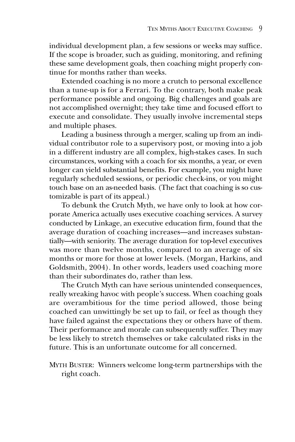individual development plan, a few sessions or weeks may suffice. If the scope is broader, such as guiding, monitoring, and refining these same development goals, then coaching might properly continue for months rather than weeks.

Extended coaching is no more a crutch to personal excellence than a tune-up is for a Ferrari. To the contrary, both make peak performance possible and ongoing. Big challenges and goals are not accomplished overnight; they take time and focused effort to execute and consolidate. They usually involve incremental steps and multiple phases.

Leading a business through a merger, scaling up from an individual contributor role to a supervisory post, or moving into a job in a different industry are all complex, high-stakes cases. In such circumstances, working with a coach for six months, a year, or even longer can yield substantial benefits. For example, you might have regularly scheduled sessions, or periodic check-ins, or you might touch base on an as-needed basis. (The fact that coaching is so customizable is part of its appeal.)

To debunk the Crutch Myth, we have only to look at how corporate America actually uses executive coaching services. A survey conducted by Linkage, an executive education firm, found that the average duration of coaching increases—and increases substantially—with seniority. The average duration for top-level executives was more than twelve months, compared to an average of six months or more for those at lower levels. (Morgan, Harkins, and Goldsmith, 2004). In other words, leaders used coaching more than their subordinates do, rather than less.

The Crutch Myth can have serious unintended consequences, really wreaking havoc with people's success. When coaching goals are overambitious for the time period allowed, those being coached can unwittingly be set up to fail, or feel as though they have failed against the expectations they or others have of them. Their performance and morale can subsequently suffer. They may be less likely to stretch themselves or take calculated risks in the future. This is an unfortunate outcome for all concerned.

MYTH BUSTER: Winners welcome long-term partnerships with the right coach.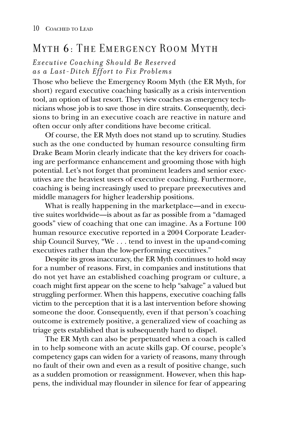### Myth 6: The Emergency Room Myth

#### *Executive Coaching Should Be Reserved as a Last-Ditch Effort to Fix Problems*

Those who believe the Emergency Room Myth (the ER Myth, for short) regard executive coaching basically as a crisis intervention tool, an option of last resort. They view coaches as emergency technicians whose job is to save those in dire straits. Consequently, decisions to bring in an executive coach are reactive in nature and often occur only after conditions have become critical.

Of course, the ER Myth does not stand up to scrutiny. Studies such as the one conducted by human resource consulting firm Drake Beam Morin clearly indicate that the key drivers for coaching are performance enhancement and grooming those with high potential. Let's not forget that prominent leaders and senior executives are the heaviest users of executive coaching. Furthermore, coaching is being increasingly used to prepare preexecutives and middle managers for higher leadership positions.

What is really happening in the marketplace—and in executive suites worldwide—is about as far as possible from a "damaged goods" view of coaching that one can imagine. As a Fortune 100 human resource executive reported in a 2004 Corporate Leadership Council Survey, "We . . . tend to invest in the up-and-coming executives rather than the low-performing executives."

Despite its gross inaccuracy, the ER Myth continues to hold sway for a number of reasons. First, in companies and institutions that do not yet have an established coaching program or culture, a coach might first appear on the scene to help "salvage" a valued but struggling performer. When this happens, executive coaching falls victim to the perception that it is a last intervention before showing someone the door. Consequently, even if that person's coaching outcome is extremely positive, a generalized view of coaching as triage gets established that is subsequently hard to dispel.

The ER Myth can also be perpetuated when a coach is called in to help someone with an acute skills gap. Of course, people's competency gaps can widen for a variety of reasons, many through no fault of their own and even as a result of positive change, such as a sudden promotion or reassignment. However, when this happens, the individual may flounder in silence for fear of appearing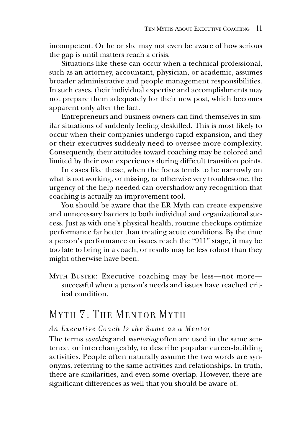incompetent. Or he or she may not even be aware of how serious the gap is until matters reach a crisis.

Situations like these can occur when a technical professional, such as an attorney, accountant, physician, or academic, assumes broader administrative and people management responsibilities. In such cases, their individual expertise and accomplishments may not prepare them adequately for their new post, which becomes apparent only after the fact.

Entrepreneurs and business owners can find themselves in similar situations of suddenly feeling deskilled. This is most likely to occur when their companies undergo rapid expansion, and they or their executives suddenly need to oversee more complexity. Consequently, their attitudes toward coaching may be colored and limited by their own experiences during difficult transition points.

In cases like these, when the focus tends to be narrowly on what is not working, or missing, or otherwise very troublesome, the urgency of the help needed can overshadow any recognition that coaching is actually an improvement tool.

You should be aware that the ER Myth can create expensive and unnecessary barriers to both individual and organizational success. Just as with one's physical health, routine checkups optimize performance far better than treating acute conditions. By the time a person's performance or issues reach the "911" stage, it may be too late to bring in a coach, or results may be less robust than they might otherwise have been.

MYTH BUSTER: Executive coaching may be less—not more successful when a person's needs and issues have reached critical condition.

### Myth 7: The Mentor Myth

#### *An Executive Coach Is the Same as a Mentor*

The terms *coaching* and *mentoring* often are used in the same sentence, or interchangeably, to describe popular career-building activities. People often naturally assume the two words are synonyms, referring to the same activities and relationships. In truth, there are similarities, and even some overlap. However, there are significant differences as well that you should be aware of.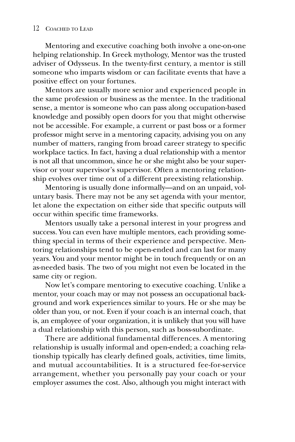Mentoring and executive coaching both involve a one-on-one helping relationship. In Greek mythology, Mentor was the trusted adviser of Odysseus. In the twenty-first century, a mentor is still someone who imparts wisdom or can facilitate events that have a positive effect on your fortunes.

Mentors are usually more senior and experienced people in the same profession or business as the mentee. In the traditional sense, a mentor is someone who can pass along occupation-based knowledge and possibly open doors for you that might otherwise not be accessible. For example, a current or past boss or a former professor might serve in a mentoring capacity, advising you on any number of matters, ranging from broad career strategy to specific workplace tactics. In fact, having a dual relationship with a mentor is not all that uncommon, since he or she might also be your supervisor or your supervisor's supervisor. Often a mentoring relationship evolves over time out of a different preexisting relationship.

Mentoring is usually done informally—and on an unpaid, voluntary basis. There may not be any set agenda with your mentor, let alone the expectation on either side that specific outputs will occur within specific time frameworks.

Mentors usually take a personal interest in your progress and success. You can even have multiple mentors, each providing something special in terms of their experience and perspective. Mentoring relationships tend to be open-ended and can last for many years. You and your mentor might be in touch frequently or on an as-needed basis. The two of you might not even be located in the same city or region.

Now let's compare mentoring to executive coaching. Unlike a mentor, your coach may or may not possess an occupational background and work experiences similar to yours. He or she may be older than you, or not. Even if your coach is an internal coach, that is, an employee of your organization, it is unlikely that you will have a dual relationship with this person, such as boss-subordinate.

There are additional fundamental differences. A mentoring relationship is usually informal and open-ended; a coaching relationship typically has clearly defined goals, activities, time limits, and mutual accountabilities. It is a structured fee-for-service arrangement, whether you personally pay your coach or your employer assumes the cost. Also, although you might interact with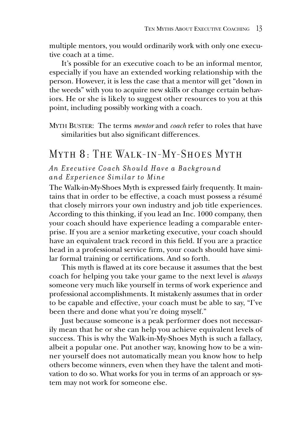multiple mentors, you would ordinarily work with only one executive coach at a time.

It's possible for an executive coach to be an informal mentor, especially if you have an extended working relationship with the person. However, it is less the case that a mentor will get "down in the weeds" with you to acquire new skills or change certain behaviors. He or she is likely to suggest other resources to you at this point, including possibly working with a coach.

MYTH BUSTER: The terms *mentor* and *coach* refer to roles that have similarities but also significant differences.

### Myth 8: The Walk-in-My-Shoes Myth

*An Executive Coach Should Have a Background and Experience Similar to Mine*

The Walk-in-My-Shoes Myth is expressed fairly frequently. It maintains that in order to be effective, a coach must possess a résumé that closely mirrors your own industry and job title experiences. According to this thinking, if you lead an Inc. 1000 company, then your coach should have experience leading a comparable enterprise. If you are a senior marketing executive, your coach should have an equivalent track record in this field. If you are a practice head in a professional service firm, your coach should have similar formal training or certifications. And so forth.

This myth is flawed at its core because it assumes that the best coach for helping you take your game to the next level is *always* someone very much like yourself in terms of work experience and professional accomplishments. It mistakenly assumes that in order to be capable and effective, your coach must be able to say, "I've been there and done what you're doing myself."

Just because someone is a peak performer does not necessarily mean that he or she can help you achieve equivalent levels of success. This is why the Walk-in-My-Shoes Myth is such a fallacy, albeit a popular one. Put another way, knowing how to be a winner yourself does not automatically mean you know how to help others become winners, even when they have the talent and motivation to do so. What works for you in terms of an approach or system may not work for someone else.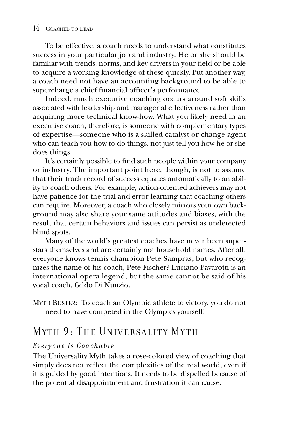To be effective, a coach needs to understand what constitutes success in your particular job and industry. He or she should be familiar with trends, norms, and key drivers in your field or be able to acquire a working knowledge of these quickly. Put another way, a coach need not have an accounting background to be able to supercharge a chief financial officer's performance.

Indeed, much executive coaching occurs around soft skills associated with leadership and managerial effectiveness rather than acquiring more technical know-how. What you likely need in an executive coach, therefore, is someone with complementary types of expertise—someone who is a skilled catalyst or change agent who can teach you how to do things, not just tell you how he or she does things.

It's certainly possible to find such people within your company or industry. The important point here, though, is not to assume that their track record of success equates automatically to an ability to coach others. For example, action-oriented achievers may not have patience for the trial-and-error learning that coaching others can require. Moreover, a coach who closely mirrors your own background may also share your same attitudes and biases, with the result that certain behaviors and issues can persist as undetected blind spots.

Many of the world's greatest coaches have never been superstars themselves and are certainly not household names. After all, everyone knows tennis champion Pete Sampras, but who recognizes the name of his coach, Pete Fischer? Luciano Pavarotti is an international opera legend, but the same cannot be said of his vocal coach, Gildo Di Nunzio.

MYTH BUSTER: To coach an Olympic athlete to victory, you do not need to have competed in the Olympics yourself.

### Myth 9: The Universality Myth

#### *Everyone Is Coachable*

The Universality Myth takes a rose-colored view of coaching that simply does not reflect the complexities of the real world, even if it is guided by good intentions. It needs to be dispelled because of the potential disappointment and frustration it can cause.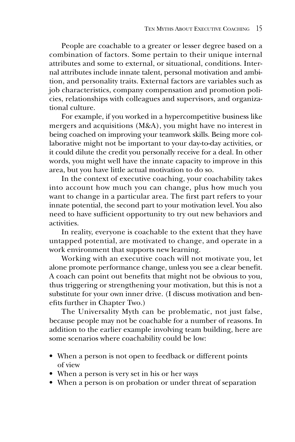People are coachable to a greater or lesser degree based on a combination of factors. Some pertain to their unique internal attributes and some to external, or situational, conditions. Internal attributes include innate talent, personal motivation and ambition, and personality traits. External factors are variables such as job characteristics, company compensation and promotion policies, relationships with colleagues and supervisors, and organizational culture.

For example, if you worked in a hypercompetitive business like mergers and acquisitions (M&A), you might have no interest in being coached on improving your teamwork skills. Being more collaborative might not be important to your day-to-day activities, or it could dilute the credit you personally receive for a deal. In other words, you might well have the innate capacity to improve in this area, but you have little actual motivation to do so.

In the context of executive coaching, your coachability takes into account how much you can change, plus how much you want to change in a particular area. The first part refers to your innate potential, the second part to your motivation level. You also need to have sufficient opportunity to try out new behaviors and activities.

In reality, everyone is coachable to the extent that they have untapped potential, are motivated to change, and operate in a work environment that supports new learning.

Working with an executive coach will not motivate you, let alone promote performance change, unless you see a clear benefit. A coach can point out benefits that might not be obvious to you, thus triggering or strengthening your motivation, but this is not a substitute for your own inner drive. (I discuss motivation and benefits further in Chapter Two.)

The Universality Myth can be problematic, not just false, because people may not be coachable for a number of reasons. In addition to the earlier example involving team building, here are some scenarios where coachability could be low:

- When a person is not open to feedback or different points of view
- When a person is very set in his or her ways
- When a person is on probation or under threat of separation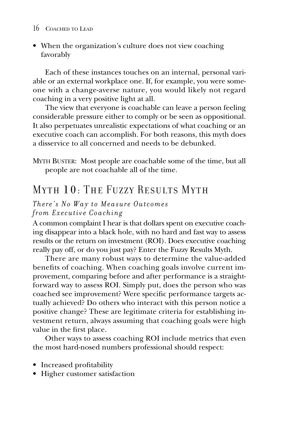#### 16 COACHED TO LEAD

• When the organization's culture does not view coaching favorably

Each of these instances touches on an internal, personal variable or an external workplace one. If, for example, you were someone with a change-averse nature, you would likely not regard coaching in a very positive light at all.

The view that everyone is coachable can leave a person feeling considerable pressure either to comply or be seen as oppositional. It also perpetuates unrealistic expectations of what coaching or an executive coach can accomplish. For both reasons, this myth does a disservice to all concerned and needs to be debunked.

MYTH BUSTER: Most people are coachable some of the time, but all people are not coachable all of the time.

### Myth 10: The Fuzzy Results Myth

#### *There's No Way to Measure Outcomes from Executive Coaching*

A common complaint I hear is that dollars spent on executive coaching disappear into a black hole, with no hard and fast way to assess results or the return on investment (ROI). Does executive coaching really pay off, or do you just pay? Enter the Fuzzy Results Myth.

There are many robust ways to determine the value-added benefits of coaching. When coaching goals involve current improvement, comparing before and after performance is a straightforward way to assess ROI. Simply put, does the person who was coached see improvement? Were specific performance targets actually achieved? Do others who interact with this person notice a positive change? These are legitimate criteria for establishing investment return, always assuming that coaching goals were high value in the first place.

Other ways to assess coaching ROI include metrics that even the most hard-nosed numbers professional should respect:

- Increased profitability
- Higher customer satisfaction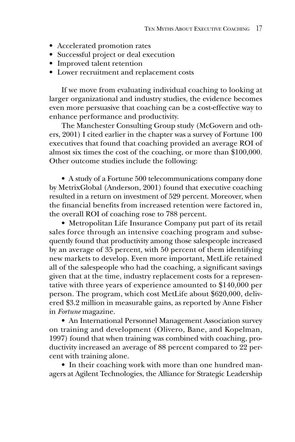- Accelerated promotion rates
- Successful project or deal execution
- Improved talent retention
- Lower recruitment and replacement costs

If we move from evaluating individual coaching to looking at larger organizational and industry studies, the evidence becomes even more persuasive that coaching can be a cost-effective way to enhance performance and productivity.

The Manchester Consulting Group study (McGovern and others, 2001) I cited earlier in the chapter was a survey of Fortune 100 executives that found that coaching provided an average ROI of almost six times the cost of the coaching, or more than \$100,000. Other outcome studies include the following:

• A study of a Fortune 500 telecommunications company done by MetrixGlobal (Anderson, 2001) found that executive coaching resulted in a return on investment of 529 percent. Moreover, when the financial benefits from increased retention were factored in, the overall ROI of coaching rose to 788 percent.

• Metropolitan Life Insurance Company put part of its retail sales force through an intensive coaching program and subsequently found that productivity among those salespeople increased by an average of 35 percent, with 50 percent of them identifying new markets to develop. Even more important, MetLife retained all of the salespeople who had the coaching, a significant savings given that at the time, industry replacement costs for a representative with three years of experience amounted to \$140,000 per person. The program, which cost MetLife about \$620,000, delivered \$3.2 million in measurable gains, as reported by Anne Fisher in *Fortune* magazine.

• An International Personnel Management Association survey on training and development (Olivero, Bane, and Kopelman, 1997) found that when training was combined with coaching, productivity increased an average of 88 percent compared to 22 percent with training alone.

• In their coaching work with more than one hundred managers at Agilent Technologies, the Alliance for Strategic Leadership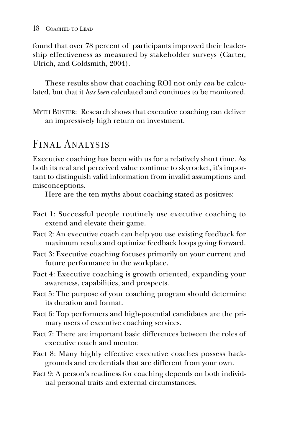found that over 78 percent of participants improved their leadership effectiveness as measured by stakeholder surveys (Carter, Ulrich, and Goldsmith, 2004).

These results show that coaching ROI not only *can* be calculated, but that it *has been* calculated and continues to be monitored.

MYTH BUSTER: Research shows that executive coaching can deliver an impressively high return on investment.

### Final Analysis

Executive coaching has been with us for a relatively short time. As both its real and perceived value continue to skyrocket, it's important to distinguish valid information from invalid assumptions and misconceptions.

Here are the ten myths about coaching stated as positives:

- Fact 1: Successful people routinely use executive coaching to extend and elevate their game.
- Fact 2: An executive coach can help you use existing feedback for maximum results and optimize feedback loops going forward.
- Fact 3: Executive coaching focuses primarily on your current and future performance in the workplace.
- Fact 4: Executive coaching is growth oriented, expanding your awareness, capabilities, and prospects.
- Fact 5: The purpose of your coaching program should determine its duration and format.
- Fact 6: Top performers and high-potential candidates are the primary users of executive coaching services.
- Fact 7: There are important basic differences between the roles of executive coach and mentor.
- Fact 8: Many highly effective executive coaches possess backgrounds and credentials that are different from your own.
- Fact 9: A person's readiness for coaching depends on both individual personal traits and external circumstances.